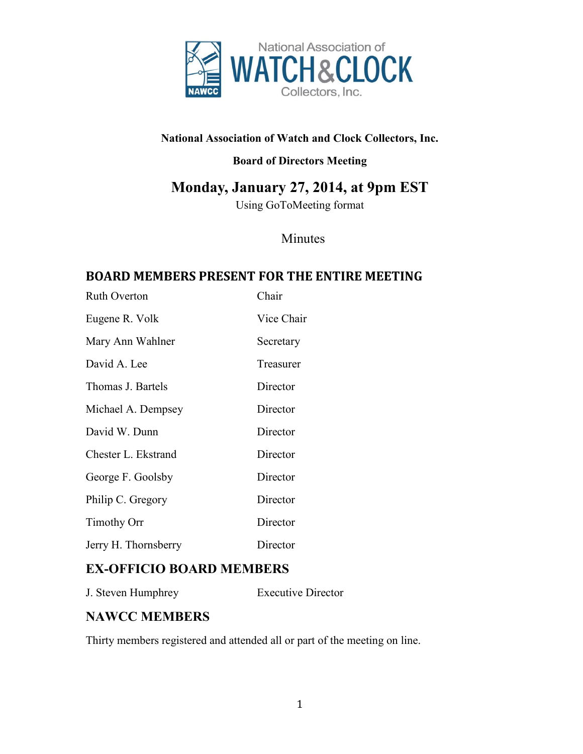

#### **National Association of Watch and Clock Collectors, Inc.**

### **Board of Directors Meeting**

# **Monday, January 27, 2014, at 9pm EST**

Using GoToMeeting format

# Minutes

# **BOARD MEMBERS PRESENT FOR THE ENTIRE MEETING**

| <b>Ruth Overton</b>  | Chair      |
|----------------------|------------|
| Eugene R. Volk       | Vice Chair |
| Mary Ann Wahlner     | Secretary  |
| David A. Lee         | Treasurer  |
| Thomas J. Bartels    | Director   |
| Michael A. Dempsey   | Director   |
| David W. Dunn        | Director   |
| Chester L. Ekstrand  | Director   |
| George F. Goolsby    | Director   |
| Philip C. Gregory    | Director   |
| <b>Timothy Orr</b>   | Director   |
| Jerry H. Thornsberry | Director   |

# **EX-OFFICIO BOARD MEMBERS**

J. Steven Humphrey Executive Director

# **NAWCC MEMBERS**

Thirty members registered and attended all or part of the meeting on line.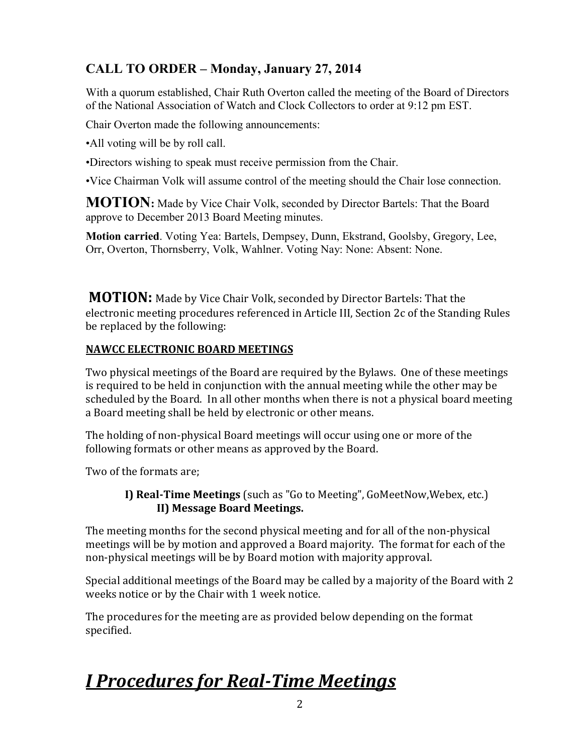# Judy Drauck **CALL TO ORDER – Monday, January 27, 2014**

With a quorum established, Chair Ruth Overton called the meeting of the Board of Directors of the National Association of Watch and Clock Collectors to order at 9:12 pm EST.

Chair Overton made the following announcements:

•All voting will be by roll call.

•Directors wishing to speak must receive permission from the Chair.

•Vice Chairman Volk will assume control of the meeting should the Chair lose connection.

**MOTION:** Made by Vice Chair Volk, seconded by Director Bartels: That the Board approve to December 2013 Board Meeting minutes.

**Motion carried**. Voting Yea: Bartels, Dempsey, Dunn, Ekstrand, Goolsby, Gregory, Lee, Orr, Overton, Thornsberry, Volk, Wahlner. Voting Nay: None: Absent: None.

**MOTION:** Made by Vice Chair Volk, seconded by Director Bartels: That the electronic meeting procedures referenced in Article III, Section 2c of the Standing Rules be replaced by the following:

#### **NAWCC ELECTRONIC BOARD MEETINGS**

Two physical meetings of the Board are required by the Bylaws. One of these meetings is required to be held in conjunction with the annual meeting while the other may be scheduled by the Board. In all other months when there is not a physical board meeting a Board meeting shall be held by electronic or other means.

The holding of non-physical Board meetings will occur using one or more of the following formats or other means as approved by the Board.

Two of the formats are;

#### **I) Real-Time Meetings** (such as "Go to Meeting", GoMeetNow,Webex, etc.) **II) Message Board Meetings.**

The meeting months for the second physical meeting and for all of the non-physical meetings will be by motion and approved a Board majority. The format for each of the non-physical meetings will be by Board motion with majority approval.

Special additional meetings of the Board may be called by a majority of the Board with 2 weeks notice or by the Chair with 1 week notice.

The procedures for the meeting are as provided below depending on the format specified.

# *I Procedures for Real-Time Meetings*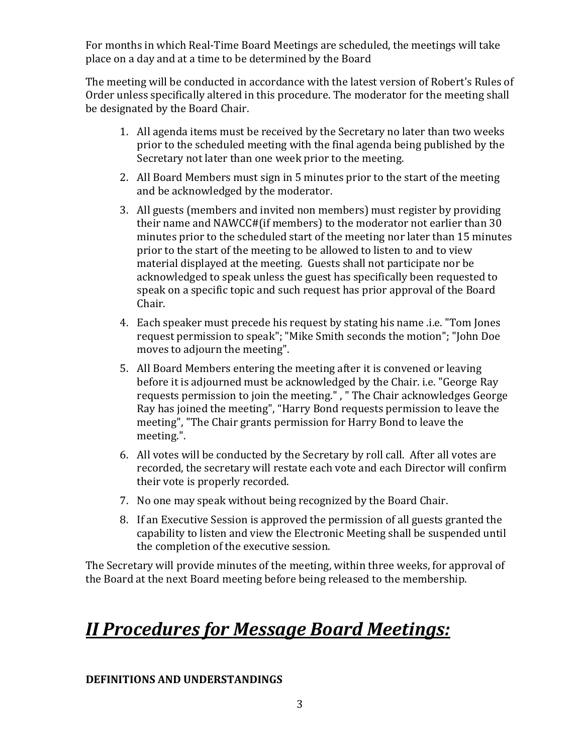For months in which Real-Time Board Meetings are scheduled, the meetings will take place on a day and at a time to be determined by the Board

The meeting will be conducted in accordance with the latest version of Robert's Rules of Order unless specifically altered in this procedure. The moderator for the meeting shall be designated by the Board Chair.

- 1. All agenda items must be received by the Secretary no later than two weeks prior to the scheduled meeting with the final agenda being published by the Secretary not later than one week prior to the meeting.
- 2. All Board Members must sign in 5 minutes prior to the start of the meeting and be acknowledged by the moderator.
- 3. All guests (members and invited non members) must register by providing their name and NAWCC#(if members) to the moderator not earlier than 30 minutes prior to the scheduled start of the meeting nor later than 15 minutes prior to the start of the meeting to be allowed to listen to and to view material displayed at the meeting. Guests shall not participate nor be acknowledged to speak unless the guest has specifically been requested to speak on a specific topic and such request has prior approval of the Board Chair.
- 4. Each speaker must precede his request by stating his name .i.e. "Tom Jones request permission to speak"; "Mike Smith seconds the motion"; "John Doe moves to adjourn the meeting".
- 5. All Board Members entering the meeting after it is convened or leaving before it is adjourned must be acknowledged by the Chair. i.e. "George Ray requests permission to join the meeting." , " The Chair acknowledges George Ray has joined the meeting", "Harry Bond requests permission to leave the meeting", "The Chair grants permission for Harry Bond to leave the meeting.".
- 6. All votes will be conducted by the Secretary by roll call. After all votes are recorded, the secretary will restate each vote and each Director will confirm their vote is properly recorded.
- 7. No one may speak without being recognized by the Board Chair.
- 8. If an Executive Session is approved the permission of all guests granted the capability to listen and view the Electronic Meeting shall be suspended until the completion of the executive session.

The Secretary will provide minutes of the meeting, within three weeks, for approval of the Board at the next Board meeting before being released to the membership.

# *II Procedures for Message Board Meetings:*

#### **DEFINITIONS AND UNDERSTANDINGS**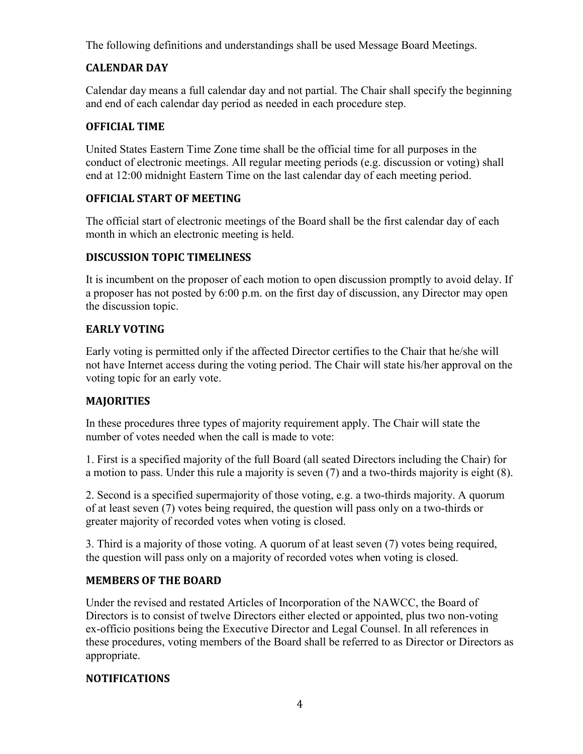The following definitions and understandings shall be used Message Board Meetings.

#### **CALENDAR DAY**

Calendar day means a full calendar day and not partial. The Chair shall specify the beginning and end of each calendar day period as needed in each procedure step.

#### **OFFICIAL TIME**

United States Eastern Time Zone time shall be the official time for all purposes in the conduct of electronic meetings. All regular meeting periods (e.g. discussion or voting) shall end at 12:00 midnight Eastern Time on the last calendar day of each meeting period.

#### **OFFICIAL START OF MEETING**

The official start of electronic meetings of the Board shall be the first calendar day of each month in which an electronic meeting is held.

#### **DISCUSSION TOPIC TIMELINESS**

It is incumbent on the proposer of each motion to open discussion promptly to avoid delay. If a proposer has not posted by 6:00 p.m. on the first day of discussion, any Director may open the discussion topic.

#### **EARLY VOTING**

Early voting is permitted only if the affected Director certifies to the Chair that he/she will not have Internet access during the voting period. The Chair will state his/her approval on the voting topic for an early vote.

#### **MAJORITIES**

In these procedures three types of majority requirement apply. The Chair will state the number of votes needed when the call is made to vote:

1. First is a specified majority of the full Board (all seated Directors including the Chair) for a motion to pass. Under this rule a majority is seven (7) and a two-thirds majority is eight (8).

2. Second is a specified supermajority of those voting, e.g. a two-thirds majority. A quorum of at least seven (7) votes being required, the question will pass only on a two-thirds or greater majority of recorded votes when voting is closed.

3. Third is a majority of those voting. A quorum of at least seven (7) votes being required, the question will pass only on a majority of recorded votes when voting is closed.

#### **MEMBERS OF THE BOARD**

Under the revised and restated Articles of Incorporation of the NAWCC, the Board of Directors is to consist of twelve Directors either elected or appointed, plus two non-voting ex-officio positions being the Executive Director and Legal Counsel. In all references in these procedures, voting members of the Board shall be referred to as Director or Directors as appropriate.

#### **NOTIFICATIONS**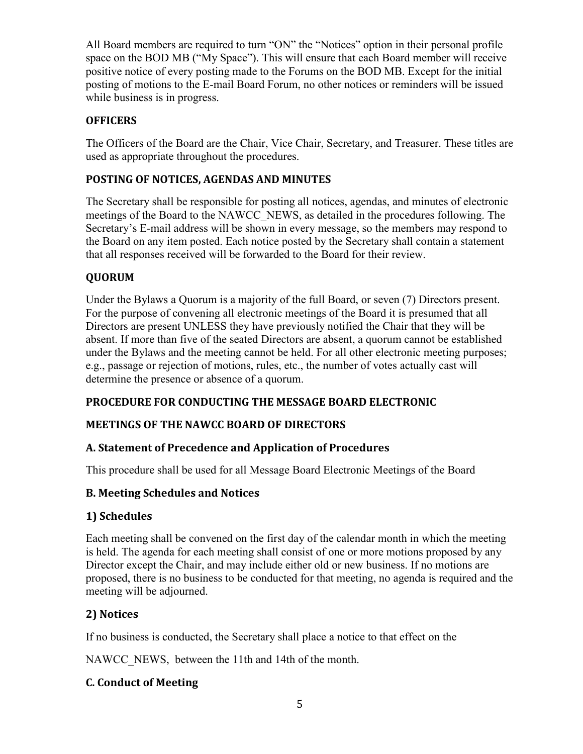All Board members are required to turn "ON" the "Notices" option in their personal profile space on the BOD MB ("My Space"). This will ensure that each Board member will receive positive notice of every posting made to the Forums on the BOD MB. Except for the initial posting of motions to the E-mail Board Forum, no other notices or reminders will be issued while business is in progress.

#### **OFFICERS**

The Officers of the Board are the Chair, Vice Chair, Secretary, and Treasurer. These titles are used as appropriate throughout the procedures.

#### **POSTING OF NOTICES, AGENDAS AND MINUTES**

The Secretary shall be responsible for posting all notices, agendas, and minutes of electronic meetings of the Board to the NAWCC\_NEWS, as detailed in the procedures following. The Secretary's E-mail address will be shown in every message, so the members may respond to the Board on any item posted. Each notice posted by the Secretary shall contain a statement that all responses received will be forwarded to the Board for their review.

#### **QUORUM**

Under the Bylaws a Quorum is a majority of the full Board, or seven (7) Directors present. For the purpose of convening all electronic meetings of the Board it is presumed that all Directors are present UNLESS they have previously notified the Chair that they will be absent. If more than five of the seated Directors are absent, a quorum cannot be established under the Bylaws and the meeting cannot be held. For all other electronic meeting purposes; e.g., passage or rejection of motions, rules, etc., the number of votes actually cast will determine the presence or absence of a quorum.

#### **PROCEDURE FOR CONDUCTING THE MESSAGE BOARD ELECTRONIC**

#### **MEETINGS OF THE NAWCC BOARD OF DIRECTORS**

#### **A. Statement of Precedence and Application of Procedures**

This procedure shall be used for all Message Board Electronic Meetings of the Board

#### **B. Meeting Schedules and Notices**

#### **1) Schedules**

Each meeting shall be convened on the first day of the calendar month in which the meeting is held. The agenda for each meeting shall consist of one or more motions proposed by any Director except the Chair, and may include either old or new business. If no motions are proposed, there is no business to be conducted for that meeting, no agenda is required and the meeting will be adjourned.

#### **2) Notices**

If no business is conducted, the Secretary shall place a notice to that effect on the

NAWCC NEWS, between the 11th and 14th of the month.

#### **C. Conduct of Meeting**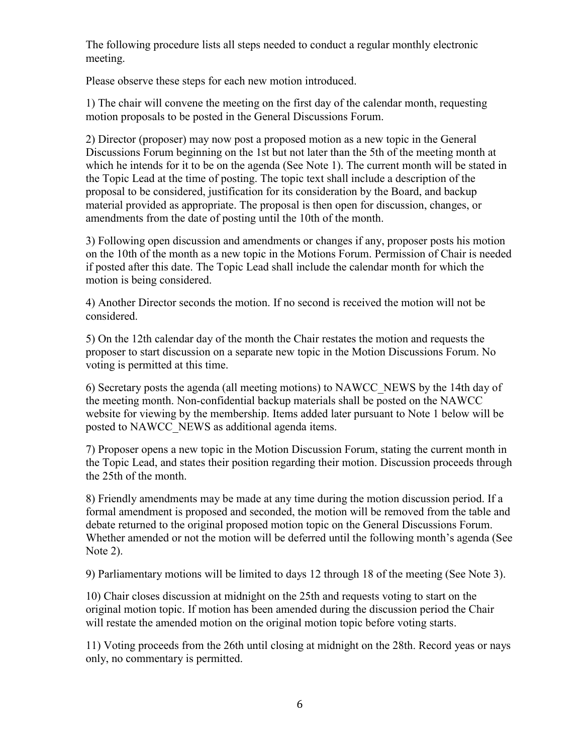The following procedure lists all steps needed to conduct a regular monthly electronic meeting.

Please observe these steps for each new motion introduced.

1) The chair will convene the meeting on the first day of the calendar month, requesting motion proposals to be posted in the General Discussions Forum.

2) Director (proposer) may now post a proposed motion as a new topic in the General Discussions Forum beginning on the 1st but not later than the 5th of the meeting month at which he intends for it to be on the agenda (See Note 1). The current month will be stated in the Topic Lead at the time of posting. The topic text shall include a description of the proposal to be considered, justification for its consideration by the Board, and backup material provided as appropriate. The proposal is then open for discussion, changes, or amendments from the date of posting until the 10th of the month.

3) Following open discussion and amendments or changes if any, proposer posts his motion on the 10th of the month as a new topic in the Motions Forum. Permission of Chair is needed if posted after this date. The Topic Lead shall include the calendar month for which the motion is being considered.

4) Another Director seconds the motion. If no second is received the motion will not be considered.

5) On the 12th calendar day of the month the Chair restates the motion and requests the proposer to start discussion on a separate new topic in the Motion Discussions Forum. No voting is permitted at this time.

6) Secretary posts the agenda (all meeting motions) to NAWCC\_NEWS by the 14th day of the meeting month. Non-confidential backup materials shall be posted on the NAWCC website for viewing by the membership. Items added later pursuant to Note 1 below will be posted to NAWCC\_NEWS as additional agenda items.

7) Proposer opens a new topic in the Motion Discussion Forum, stating the current month in the Topic Lead, and states their position regarding their motion. Discussion proceeds through the 25th of the month.

8) Friendly amendments may be made at any time during the motion discussion period. If a formal amendment is proposed and seconded, the motion will be removed from the table and debate returned to the original proposed motion topic on the General Discussions Forum. Whether amended or not the motion will be deferred until the following month's agenda (See Note 2).

9) Parliamentary motions will be limited to days 12 through 18 of the meeting (See Note 3).

10) Chair closes discussion at midnight on the 25th and requests voting to start on the original motion topic. If motion has been amended during the discussion period the Chair will restate the amended motion on the original motion topic before voting starts.

11) Voting proceeds from the 26th until closing at midnight on the 28th. Record yeas or nays only, no commentary is permitted.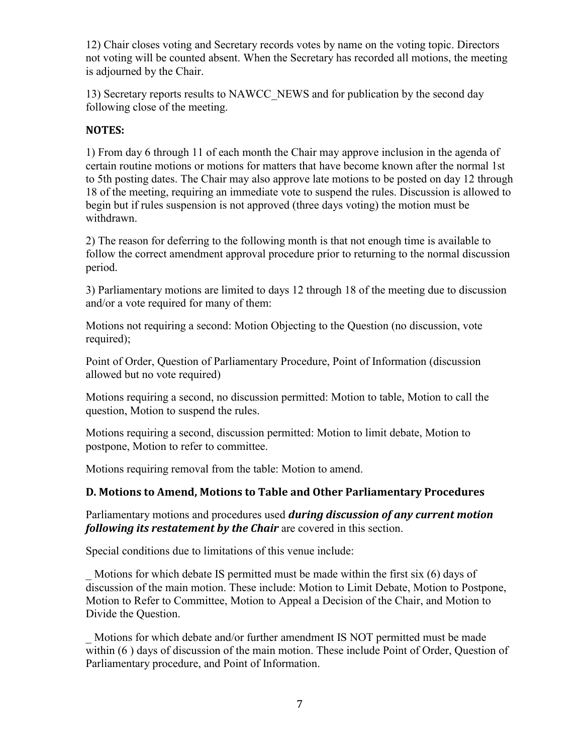12) Chair closes voting and Secretary records votes by name on the voting topic. Directors not voting will be counted absent. When the Secretary has recorded all motions, the meeting is adjourned by the Chair.

13) Secretary reports results to NAWCC\_NEWS and for publication by the second day following close of the meeting.

#### **NOTES:**

1) From day 6 through 11 of each month the Chair may approve inclusion in the agenda of certain routine motions or motions for matters that have become known after the normal 1st to 5th posting dates. The Chair may also approve late motions to be posted on day 12 through 18 of the meeting, requiring an immediate vote to suspend the rules. Discussion is allowed to begin but if rules suspension is not approved (three days voting) the motion must be withdrawn.

2) The reason for deferring to the following month is that not enough time is available to follow the correct amendment approval procedure prior to returning to the normal discussion period.

3) Parliamentary motions are limited to days 12 through 18 of the meeting due to discussion and/or a vote required for many of them:

Motions not requiring a second: Motion Objecting to the Question (no discussion, vote required);

Point of Order, Question of Parliamentary Procedure, Point of Information (discussion allowed but no vote required)

Motions requiring a second, no discussion permitted: Motion to table, Motion to call the question, Motion to suspend the rules.

Motions requiring a second, discussion permitted: Motion to limit debate, Motion to postpone, Motion to refer to committee.

Motions requiring removal from the table: Motion to amend.

#### **D. Motions to Amend, Motions to Table and Other Parliamentary Procedures**

Parliamentary motions and procedures used *during discussion of any current motion following its restatement by the Chair* are covered in this section.

Special conditions due to limitations of this venue include:

Motions for which debate IS permitted must be made within the first six (6) days of discussion of the main motion. These include: Motion to Limit Debate, Motion to Postpone, Motion to Refer to Committee, Motion to Appeal a Decision of the Chair, and Motion to Divide the Question.

Motions for which debate and/or further amendment IS NOT permitted must be made within (6 ) days of discussion of the main motion. These include Point of Order, Question of Parliamentary procedure, and Point of Information.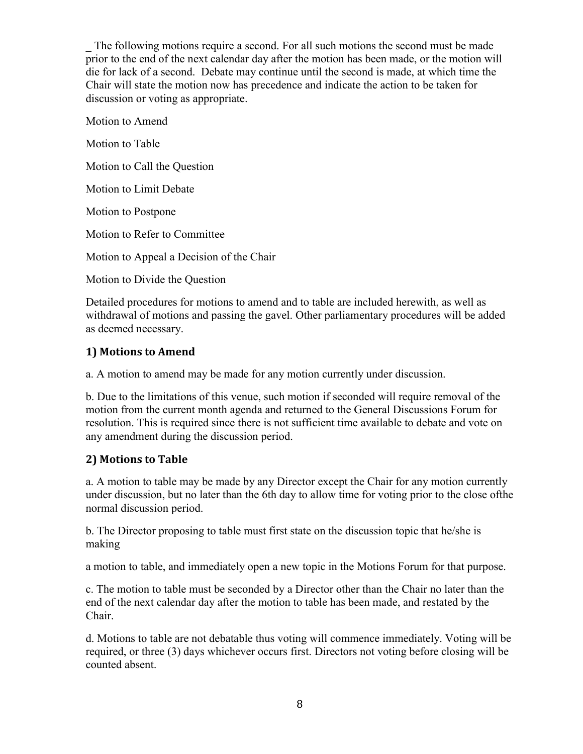The following motions require a second. For all such motions the second must be made prior to the end of the next calendar day after the motion has been made, or the motion will die for lack of a second. Debate may continue until the second is made, at which time the Chair will state the motion now has precedence and indicate the action to be taken for discussion or voting as appropriate.

Motion to Amend Motion to Table Motion to Call the Question Motion to Limit Debate Motion to Postpone Motion to Refer to Committee Motion to Appeal a Decision of the Chair Motion to Divide the Question

Detailed procedures for motions to amend and to table are included herewith, as well as withdrawal of motions and passing the gavel. Other parliamentary procedures will be added as deemed necessary.

#### **1) Motions to Amend**

a. A motion to amend may be made for any motion currently under discussion.

b. Due to the limitations of this venue, such motion if seconded will require removal of the motion from the current month agenda and returned to the General Discussions Forum for resolution. This is required since there is not sufficient time available to debate and vote on any amendment during the discussion period.

#### **2) Motions to Table**

a. A motion to table may be made by any Director except the Chair for any motion currently under discussion, but no later than the 6th day to allow time for voting prior to the close ofthe normal discussion period.

b. The Director proposing to table must first state on the discussion topic that he/she is making

a motion to table, and immediately open a new topic in the Motions Forum for that purpose.

c. The motion to table must be seconded by a Director other than the Chair no later than the end of the next calendar day after the motion to table has been made, and restated by the Chair.

d. Motions to table are not debatable thus voting will commence immediately. Voting will be required, or three (3) days whichever occurs first. Directors not voting before closing will be counted absent.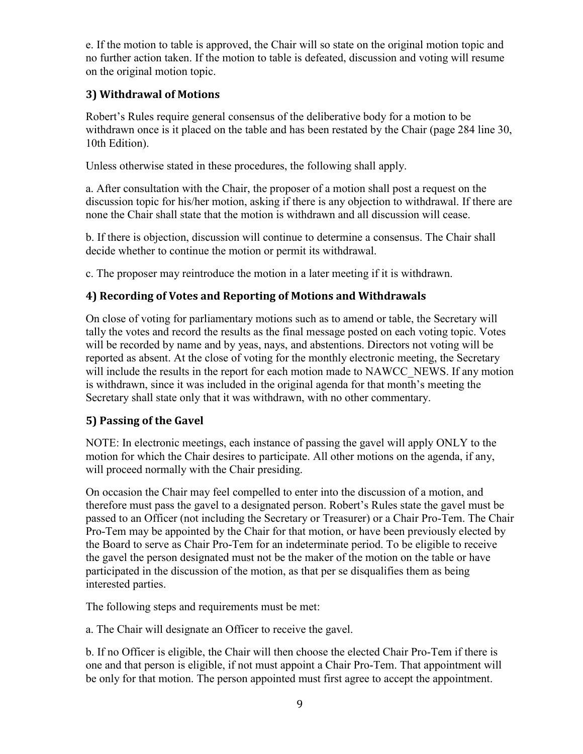e. If the motion to table is approved, the Chair will so state on the original motion topic and no further action taken. If the motion to table is defeated, discussion and voting will resume on the original motion topic.

#### **3) Withdrawal of Motions**

Robert's Rules require general consensus of the deliberative body for a motion to be withdrawn once is it placed on the table and has been restated by the Chair (page 284 line 30, 10th Edition).

Unless otherwise stated in these procedures, the following shall apply.

a. After consultation with the Chair, the proposer of a motion shall post a request on the discussion topic for his/her motion, asking if there is any objection to withdrawal. If there are none the Chair shall state that the motion is withdrawn and all discussion will cease.

b. If there is objection, discussion will continue to determine a consensus. The Chair shall decide whether to continue the motion or permit its withdrawal.

c. The proposer may reintroduce the motion in a later meeting if it is withdrawn.

#### **4) Recording of Votes and Reporting of Motions and Withdrawals**

On close of voting for parliamentary motions such as to amend or table, the Secretary will tally the votes and record the results as the final message posted on each voting topic. Votes will be recorded by name and by yeas, nays, and abstentions. Directors not voting will be reported as absent. At the close of voting for the monthly electronic meeting, the Secretary will include the results in the report for each motion made to NAWCC\_NEWS. If any motion is withdrawn, since it was included in the original agenda for that month's meeting the Secretary shall state only that it was withdrawn, with no other commentary.

#### **5) Passing of the Gavel**

NOTE: In electronic meetings, each instance of passing the gavel will apply ONLY to the motion for which the Chair desires to participate. All other motions on the agenda, if any, will proceed normally with the Chair presiding.

On occasion the Chair may feel compelled to enter into the discussion of a motion, and therefore must pass the gavel to a designated person. Robert's Rules state the gavel must be passed to an Officer (not including the Secretary or Treasurer) or a Chair Pro-Tem. The Chair Pro-Tem may be appointed by the Chair for that motion, or have been previously elected by the Board to serve as Chair Pro-Tem for an indeterminate period. To be eligible to receive the gavel the person designated must not be the maker of the motion on the table or have participated in the discussion of the motion, as that per se disqualifies them as being interested parties.

The following steps and requirements must be met:

a. The Chair will designate an Officer to receive the gavel.

b. If no Officer is eligible, the Chair will then choose the elected Chair Pro-Tem if there is one and that person is eligible, if not must appoint a Chair Pro-Tem. That appointment will be only for that motion. The person appointed must first agree to accept the appointment.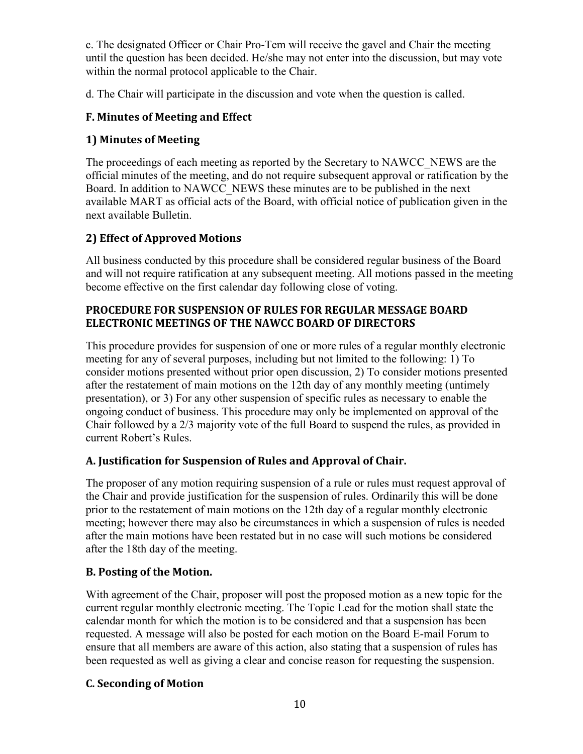c. The designated Officer or Chair Pro-Tem will receive the gavel and Chair the meeting until the question has been decided. He/she may not enter into the discussion, but may vote within the normal protocol applicable to the Chair.

d. The Chair will participate in the discussion and vote when the question is called.

#### **F. Minutes of Meeting and Effect**

#### **1) Minutes of Meeting**

The proceedings of each meeting as reported by the Secretary to NAWCC\_NEWS are the official minutes of the meeting, and do not require subsequent approval or ratification by the Board. In addition to NAWCC\_NEWS these minutes are to be published in the next available MART as official acts of the Board, with official notice of publication given in the next available Bulletin.

#### **2) Effect of Approved Motions**

All business conducted by this procedure shall be considered regular business of the Board and will not require ratification at any subsequent meeting. All motions passed in the meeting become effective on the first calendar day following close of voting.

#### **PROCEDURE FOR SUSPENSION OF RULES FOR REGULAR MESSAGE BOARD ELECTRONIC MEETINGS OF THE NAWCC BOARD OF DIRECTORS**

This procedure provides for suspension of one or more rules of a regular monthly electronic meeting for any of several purposes, including but not limited to the following: 1) To consider motions presented without prior open discussion, 2) To consider motions presented after the restatement of main motions on the 12th day of any monthly meeting (untimely presentation), or 3) For any other suspension of specific rules as necessary to enable the ongoing conduct of business. This procedure may only be implemented on approval of the Chair followed by a 2/3 majority vote of the full Board to suspend the rules, as provided in current Robert's Rules.

#### **A. Justification for Suspension of Rules and Approval of Chair.**

The proposer of any motion requiring suspension of a rule or rules must request approval of the Chair and provide justification for the suspension of rules. Ordinarily this will be done prior to the restatement of main motions on the 12th day of a regular monthly electronic meeting; however there may also be circumstances in which a suspension of rules is needed after the main motions have been restated but in no case will such motions be considered after the 18th day of the meeting.

#### **B. Posting of the Motion.**

With agreement of the Chair, proposer will post the proposed motion as a new topic for the current regular monthly electronic meeting. The Topic Lead for the motion shall state the calendar month for which the motion is to be considered and that a suspension has been requested. A message will also be posted for each motion on the Board E-mail Forum to ensure that all members are aware of this action, also stating that a suspension of rules has been requested as well as giving a clear and concise reason for requesting the suspension.

#### **C. Seconding of Motion**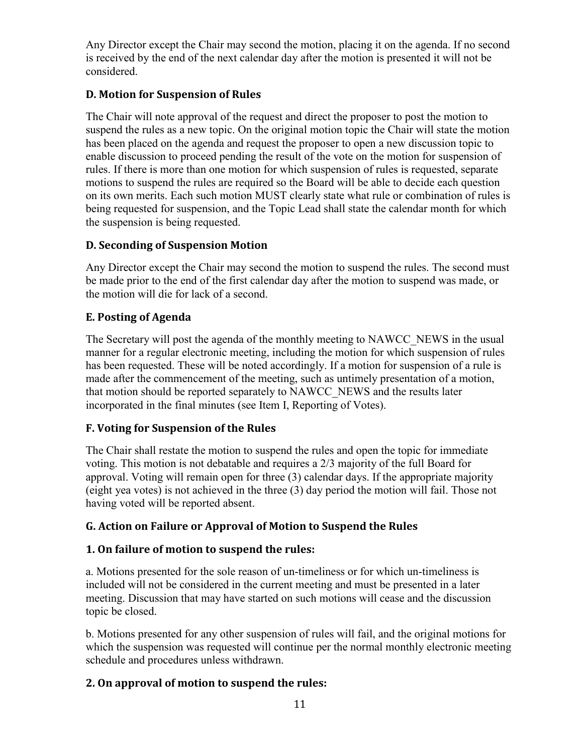Any Director except the Chair may second the motion, placing it on the agenda. If no second is received by the end of the next calendar day after the motion is presented it will not be considered.

#### **D. Motion for Suspension of Rules**

The Chair will note approval of the request and direct the proposer to post the motion to suspend the rules as a new topic. On the original motion topic the Chair will state the motion has been placed on the agenda and request the proposer to open a new discussion topic to enable discussion to proceed pending the result of the vote on the motion for suspension of rules. If there is more than one motion for which suspension of rules is requested, separate motions to suspend the rules are required so the Board will be able to decide each question on its own merits. Each such motion MUST clearly state what rule or combination of rules is being requested for suspension, and the Topic Lead shall state the calendar month for which the suspension is being requested.

# **D. Seconding of Suspension Motion**

Any Director except the Chair may second the motion to suspend the rules. The second must be made prior to the end of the first calendar day after the motion to suspend was made, or the motion will die for lack of a second.

#### **E. Posting of Agenda**

The Secretary will post the agenda of the monthly meeting to NAWCC\_NEWS in the usual manner for a regular electronic meeting, including the motion for which suspension of rules has been requested. These will be noted accordingly. If a motion for suspension of a rule is made after the commencement of the meeting, such as untimely presentation of a motion, that motion should be reported separately to NAWCC\_NEWS and the results later incorporated in the final minutes (see Item I, Reporting of Votes).

#### **F. Voting for Suspension of the Rules**

The Chair shall restate the motion to suspend the rules and open the topic for immediate voting. This motion is not debatable and requires a 2/3 majority of the full Board for approval. Voting will remain open for three (3) calendar days. If the appropriate majority (eight yea votes) is not achieved in the three (3) day period the motion will fail. Those not having voted will be reported absent.

# **G. Action on Failure or Approval of Motion to Suspend the Rules**

#### **1. On failure of motion to suspend the rules:**

a. Motions presented for the sole reason of un-timeliness or for which un-timeliness is included will not be considered in the current meeting and must be presented in a later meeting. Discussion that may have started on such motions will cease and the discussion topic be closed.

b. Motions presented for any other suspension of rules will fail, and the original motions for which the suspension was requested will continue per the normal monthly electronic meeting schedule and procedures unless withdrawn.

# **2. On approval of motion to suspend the rules:**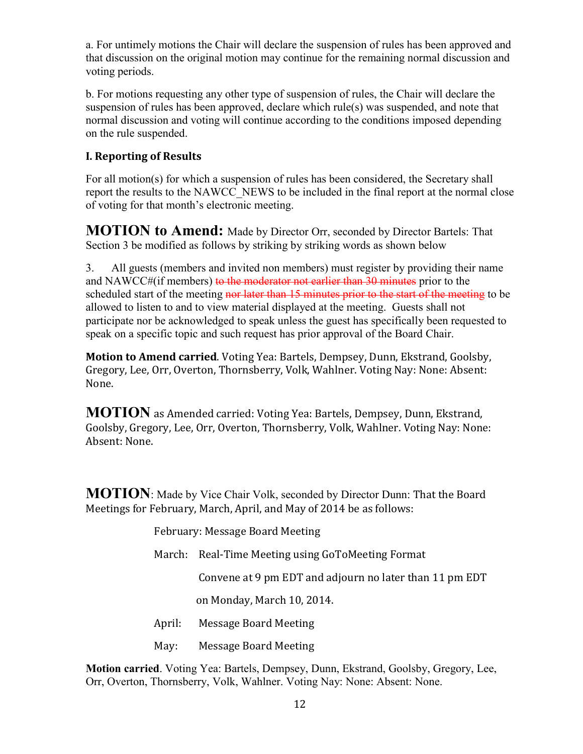a. For untimely motions the Chair will declare the suspension of rules has been approved and that discussion on the original motion may continue for the remaining normal discussion and voting periods.

b. For motions requesting any other type of suspension of rules, the Chair will declare the suspension of rules has been approved, declare which rule(s) was suspended, and note that normal discussion and voting will continue according to the conditions imposed depending on the rule suspended.

#### **I. Reporting of Results**

For all motion(s) for which a suspension of rules has been considered, the Secretary shall report the results to the NAWCC\_NEWS to be included in the final report at the normal close of voting for that month's electronic meeting.

**MOTION to Amend:** Made by Director Orr, seconded by Director Bartels: That Section 3 be modified as follows by striking by striking words as shown below

3. All guests (members and invited non members) must register by providing their name and NAWCC#(if members) to the moderator not earlier than 30 minutes prior to the scheduled start of the meeting nor later than 15 minutes prior to the start of the meeting to be allowed to listen to and to view material displayed at the meeting. Guests shall not participate nor be acknowledged to speak unless the guest has specifically been requested to speak on a specific topic and such request has prior approval of the Board Chair.

**Motion to Amend carried**. Voting Yea: Bartels, Dempsey, Dunn, Ekstrand, Goolsby, Gregory, Lee, Orr, Overton, Thornsberry, Volk, Wahlner. Voting Nay: None: Absent: None.

**MOTION** as Amended carried: Voting Yea: Bartels, Dempsey, Dunn, Ekstrand, Goolsby, Gregory, Lee, Orr, Overton, Thornsberry, Volk, Wahlner. Voting Nay: None: Absent: None.

**MOTION**: Made by Vice Chair Volk, seconded by Director Dunn: That the Board Meetings for February, March, April, and May of 2014 be as follows:

February: Message Board Meeting

March: Real-Time Meeting using GoToMeeting Format

Convene at 9 pm EDT and adjourn no later than 11 pm EDT

on Monday, March 10, 2014.

- April: Message Board Meeting
- May: Message Board Meeting

**Motion carried**. Voting Yea: Bartels, Dempsey, Dunn, Ekstrand, Goolsby, Gregory, Lee, Orr, Overton, Thornsberry, Volk, Wahlner. Voting Nay: None: Absent: None.